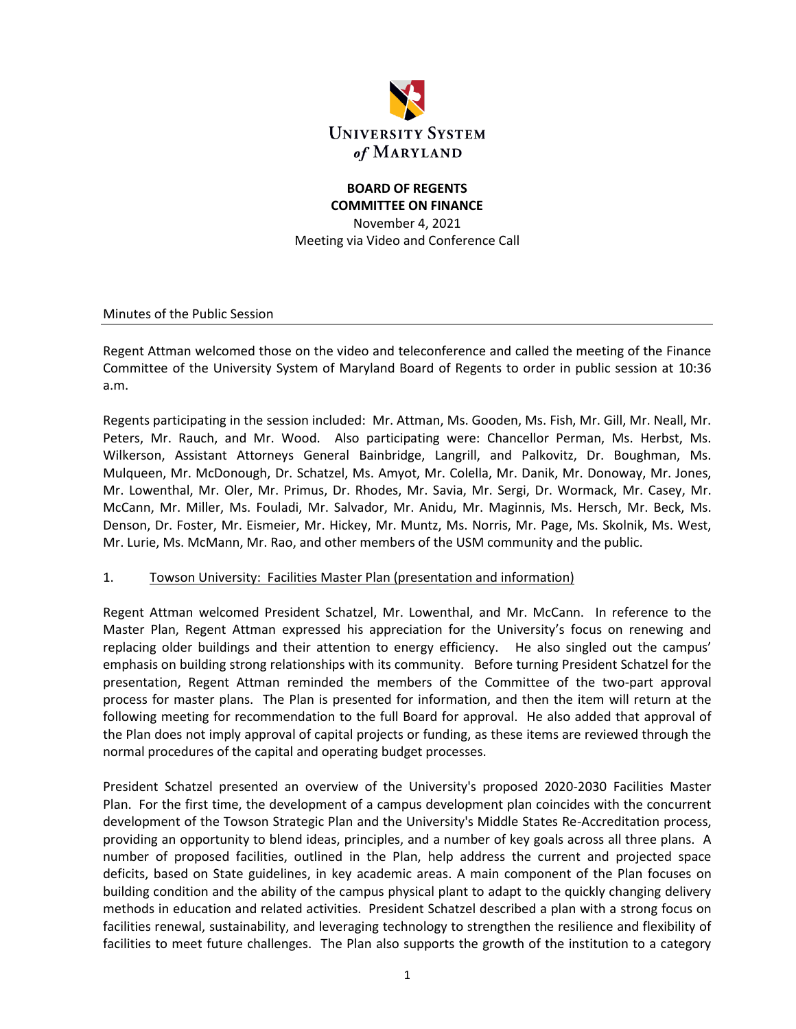

# **BOARD OF REGENTS COMMITTEE ON FINANCE**

November 4, 2021 Meeting via Video and Conference Call

Minutes of the Public Session

Regent Attman welcomed those on the video and teleconference and called the meeting of the Finance Committee of the University System of Maryland Board of Regents to order in public session at 10:36 a.m.

Regents participating in the session included: Mr. Attman, Ms. Gooden, Ms. Fish, Mr. Gill, Mr. Neall, Mr. Peters, Mr. Rauch, and Mr. Wood. Also participating were: Chancellor Perman, Ms. Herbst, Ms. Wilkerson, Assistant Attorneys General Bainbridge, Langrill, and Palkovitz, Dr. Boughman, Ms. Mulqueen, Mr. McDonough, Dr. Schatzel, Ms. Amyot, Mr. Colella, Mr. Danik, Mr. Donoway, Mr. Jones, Mr. Lowenthal, Mr. Oler, Mr. Primus, Dr. Rhodes, Mr. Savia, Mr. Sergi, Dr. Wormack, Mr. Casey, Mr. McCann, Mr. Miller, Ms. Fouladi, Mr. Salvador, Mr. Anidu, Mr. Maginnis, Ms. Hersch, Mr. Beck, Ms. Denson, Dr. Foster, Mr. Eismeier, Mr. Hickey, Mr. Muntz, Ms. Norris, Mr. Page, Ms. Skolnik, Ms. West, Mr. Lurie, Ms. McMann, Mr. Rao, and other members of the USM community and the public.

#### 1. Towson University: Facilities Master Plan (presentation and information)

Regent Attman welcomed President Schatzel, Mr. Lowenthal, and Mr. McCann. In reference to the Master Plan, Regent Attman expressed his appreciation for the University's focus on renewing and replacing older buildings and their attention to energy efficiency. He also singled out the campus' emphasis on building strong relationships with its community. Before turning President Schatzel for the presentation, Regent Attman reminded the members of the Committee of the two-part approval process for master plans. The Plan is presented for information, and then the item will return at the following meeting for recommendation to the full Board for approval. He also added that approval of the Plan does not imply approval of capital projects or funding, as these items are reviewed through the normal procedures of the capital and operating budget processes.

President Schatzel presented an overview of the University's proposed 2020-2030 Facilities Master Plan. For the first time, the development of a campus development plan coincides with the concurrent development of the Towson Strategic Plan and the University's Middle States Re-Accreditation process, providing an opportunity to blend ideas, principles, and a number of key goals across all three plans. A number of proposed facilities, outlined in the Plan, help address the current and projected space deficits, based on State guidelines, in key academic areas. A main component of the Plan focuses on building condition and the ability of the campus physical plant to adapt to the quickly changing delivery methods in education and related activities. President Schatzel described a plan with a strong focus on facilities renewal, sustainability, and leveraging technology to strengthen the resilience and flexibility of facilities to meet future challenges. The Plan also supports the growth of the institution to a category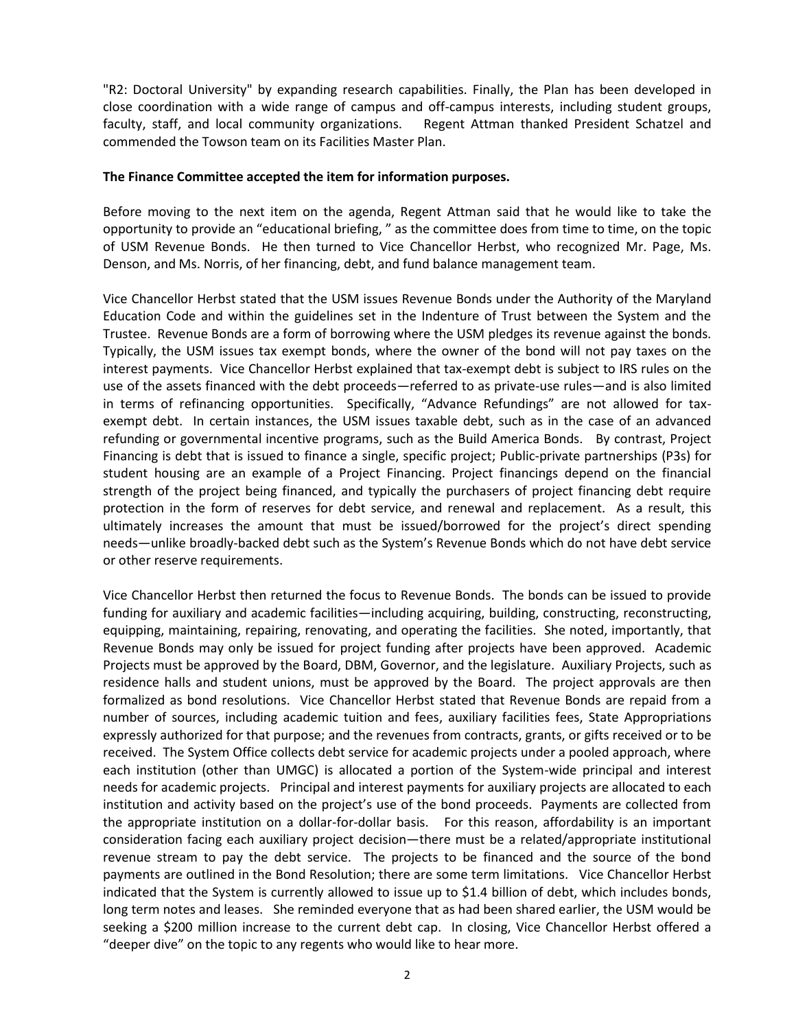"R2: Doctoral University" by expanding research capabilities. Finally, the Plan has been developed in close coordination with a wide range of campus and off-campus interests, including student groups, faculty, staff, and local community organizations. Regent Attman thanked President Schatzel and commended the Towson team on its Facilities Master Plan.

#### **The Finance Committee accepted the item for information purposes.**

Before moving to the next item on the agenda, Regent Attman said that he would like to take the opportunity to provide an "educational briefing, " as the committee does from time to time, on the topic of USM Revenue Bonds. He then turned to Vice Chancellor Herbst, who recognized Mr. Page, Ms. Denson, and Ms. Norris, of her financing, debt, and fund balance management team.

Vice Chancellor Herbst stated that the USM issues Revenue Bonds under the Authority of the Maryland Education Code and within the guidelines set in the Indenture of Trust between the System and the Trustee. Revenue Bonds are a form of borrowing where the USM pledges its revenue against the bonds. Typically, the USM issues tax exempt bonds, where the owner of the bond will not pay taxes on the interest payments. Vice Chancellor Herbst explained that tax-exempt debt is subject to IRS rules on the use of the assets financed with the debt proceeds—referred to as private-use rules—and is also limited in terms of refinancing opportunities. Specifically, "Advance Refundings" are not allowed for taxexempt debt. In certain instances, the USM issues taxable debt, such as in the case of an advanced refunding or governmental incentive programs, such as the Build America Bonds. By contrast, Project Financing is debt that is issued to finance a single, specific project; Public-private partnerships (P3s) for student housing are an example of a Project Financing. Project financings depend on the financial strength of the project being financed, and typically the purchasers of project financing debt require protection in the form of reserves for debt service, and renewal and replacement. As a result, this ultimately increases the amount that must be issued/borrowed for the project's direct spending needs—unlike broadly-backed debt such as the System's Revenue Bonds which do not have debt service or other reserve requirements.

Vice Chancellor Herbst then returned the focus to Revenue Bonds. The bonds can be issued to provide funding for auxiliary and academic facilities—including acquiring, building, constructing, reconstructing, equipping, maintaining, repairing, renovating, and operating the facilities. She noted, importantly, that Revenue Bonds may only be issued for project funding after projects have been approved. Academic Projects must be approved by the Board, DBM, Governor, and the legislature. Auxiliary Projects, such as residence halls and student unions, must be approved by the Board. The project approvals are then formalized as bond resolutions. Vice Chancellor Herbst stated that Revenue Bonds are repaid from a number of sources, including academic tuition and fees, auxiliary facilities fees, State Appropriations expressly authorized for that purpose; and the revenues from contracts, grants, or gifts received or to be received. The System Office collects debt service for academic projects under a pooled approach, where each institution (other than UMGC) is allocated a portion of the System-wide principal and interest needs for academic projects. Principal and interest payments for auxiliary projects are allocated to each institution and activity based on the project's use of the bond proceeds. Payments are collected from the appropriate institution on a dollar-for-dollar basis. For this reason, affordability is an important consideration facing each auxiliary project decision—there must be a related/appropriate institutional revenue stream to pay the debt service. The projects to be financed and the source of the bond payments are outlined in the Bond Resolution; there are some term limitations. Vice Chancellor Herbst indicated that the System is currently allowed to issue up to \$1.4 billion of debt, which includes bonds, long term notes and leases. She reminded everyone that as had been shared earlier, the USM would be seeking a \$200 million increase to the current debt cap. In closing, Vice Chancellor Herbst offered a "deeper dive" on the topic to any regents who would like to hear more.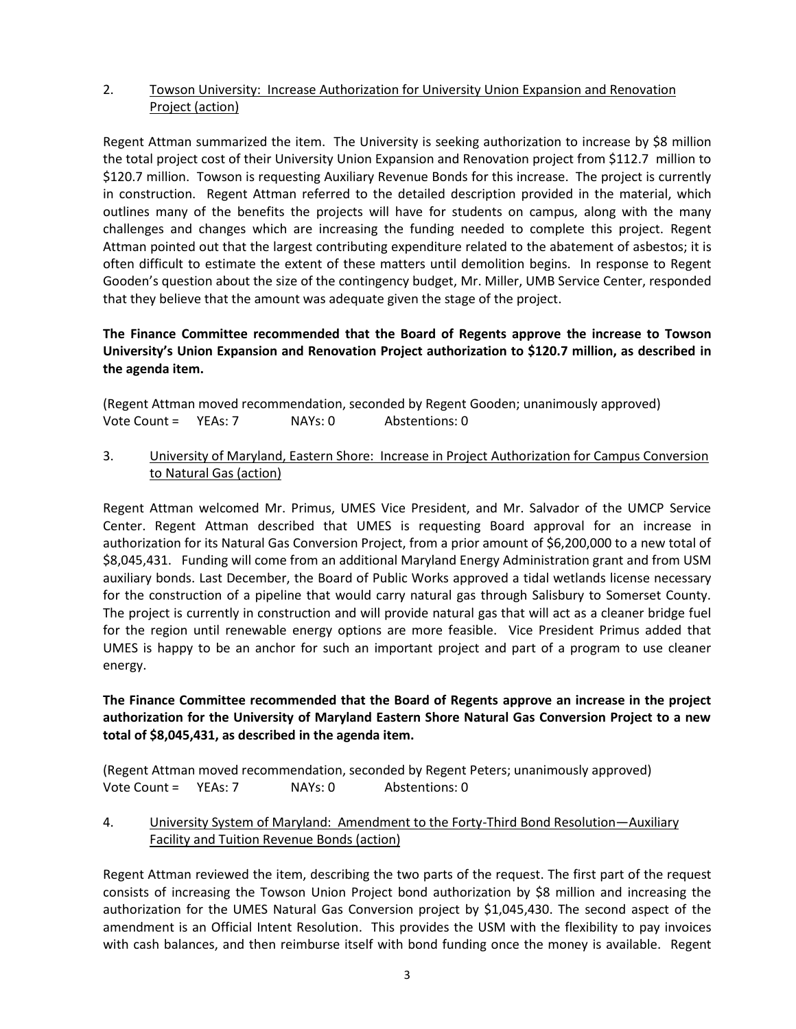### 2. Towson University: Increase Authorization for University Union Expansion and Renovation Project (action)

Regent Attman summarized the item. The University is seeking authorization to increase by \$8 million the total project cost of their University Union Expansion and Renovation project from \$112.7 million to \$120.7 million. Towson is requesting Auxiliary Revenue Bonds for this increase. The project is currently in construction. Regent Attman referred to the detailed description provided in the material, which outlines many of the benefits the projects will have for students on campus, along with the many challenges and changes which are increasing the funding needed to complete this project. Regent Attman pointed out that the largest contributing expenditure related to the abatement of asbestos; it is often difficult to estimate the extent of these matters until demolition begins. In response to Regent Gooden's question about the size of the contingency budget, Mr. Miller, UMB Service Center, responded that they believe that the amount was adequate given the stage of the project.

### **The Finance Committee recommended that the Board of Regents approve the increase to Towson University's Union Expansion and Renovation Project authorization to \$120.7 million, as described in the agenda item.**

(Regent Attman moved recommendation, seconded by Regent Gooden; unanimously approved) Vote Count = YEAs: 7 NAYs: 0 Abstentions: 0

3. University of Maryland, Eastern Shore: Increase in Project Authorization for Campus Conversion to Natural Gas (action)

Regent Attman welcomed Mr. Primus, UMES Vice President, and Mr. Salvador of the UMCP Service Center. Regent Attman described that UMES is requesting Board approval for an increase in authorization for its Natural Gas Conversion Project, from a prior amount of \$6,200,000 to a new total of \$8,045,431. Funding will come from an additional Maryland Energy Administration grant and from USM auxiliary bonds. Last December, the Board of Public Works approved a tidal wetlands license necessary for the construction of a pipeline that would carry natural gas through Salisbury to Somerset County. The project is currently in construction and will provide natural gas that will act as a cleaner bridge fuel for the region until renewable energy options are more feasible. Vice President Primus added that UMES is happy to be an anchor for such an important project and part of a program to use cleaner energy.

### **The Finance Committee recommended that the Board of Regents approve an increase in the project authorization for the University of Maryland Eastern Shore Natural Gas Conversion Project to a new total of \$8,045,431, as described in the agenda item.**

(Regent Attman moved recommendation, seconded by Regent Peters; unanimously approved) Vote Count = YEAs: 7 NAYs: 0 Abstentions: 0

### 4. University System of Maryland: Amendment to the Forty-Third Bond Resolution—Auxiliary Facility and Tuition Revenue Bonds (action)

Regent Attman reviewed the item, describing the two parts of the request. The first part of the request consists of increasing the Towson Union Project bond authorization by \$8 million and increasing the authorization for the UMES Natural Gas Conversion project by \$1,045,430. The second aspect of the amendment is an Official Intent Resolution. This provides the USM with the flexibility to pay invoices with cash balances, and then reimburse itself with bond funding once the money is available. Regent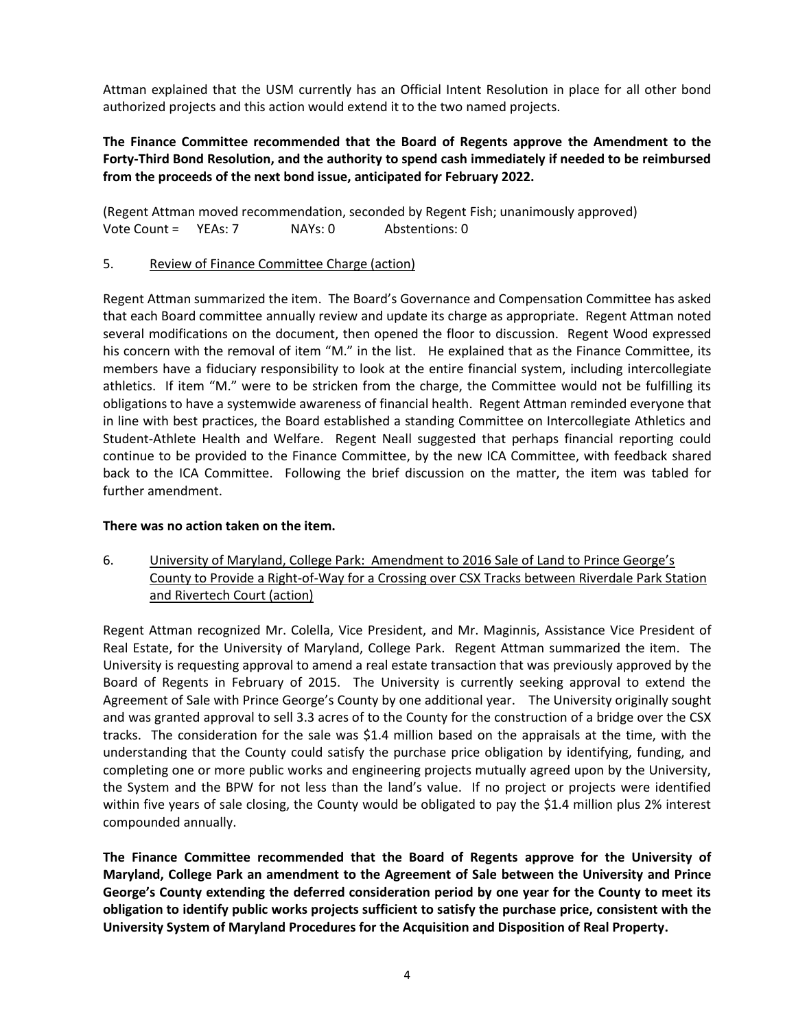Attman explained that the USM currently has an Official Intent Resolution in place for all other bond authorized projects and this action would extend it to the two named projects.

### **The Finance Committee recommended that the Board of Regents approve the Amendment to the Forty-Third Bond Resolution, and the authority to spend cash immediately if needed to be reimbursed from the proceeds of the next bond issue, anticipated for February 2022.**

(Regent Attman moved recommendation, seconded by Regent Fish; unanimously approved) Vote Count = YEAs: 7 NAYs: 0 Abstentions: 0

5. Review of Finance Committee Charge (action)

Regent Attman summarized the item. The Board's Governance and Compensation Committee has asked that each Board committee annually review and update its charge as appropriate. Regent Attman noted several modifications on the document, then opened the floor to discussion. Regent Wood expressed his concern with the removal of item "M." in the list. He explained that as the Finance Committee, its members have a fiduciary responsibility to look at the entire financial system, including intercollegiate athletics. If item "M." were to be stricken from the charge, the Committee would not be fulfilling its obligations to have a systemwide awareness of financial health. Regent Attman reminded everyone that in line with best practices, the Board established a standing Committee on Intercollegiate Athletics and Student-Athlete Health and Welfare. Regent Neall suggested that perhaps financial reporting could continue to be provided to the Finance Committee, by the new ICA Committee, with feedback shared back to the ICA Committee. Following the brief discussion on the matter, the item was tabled for further amendment.

### **There was no action taken on the item.**

6. University of Maryland, College Park: Amendment to 2016 Sale of Land to Prince George's County to Provide a Right-of-Way for a Crossing over CSX Tracks between Riverdale Park Station and Rivertech Court (action)

Regent Attman recognized Mr. Colella, Vice President, and Mr. Maginnis, Assistance Vice President of Real Estate, for the University of Maryland, College Park. Regent Attman summarized the item. The University is requesting approval to amend a real estate transaction that was previously approved by the Board of Regents in February of 2015. The University is currently seeking approval to extend the Agreement of Sale with Prince George's County by one additional year. The University originally sought and was granted approval to sell 3.3 acres of to the County for the construction of a bridge over the CSX tracks. The consideration for the sale was \$1.4 million based on the appraisals at the time, with the understanding that the County could satisfy the purchase price obligation by identifying, funding, and completing one or more public works and engineering projects mutually agreed upon by the University, the System and the BPW for not less than the land's value. If no project or projects were identified within five years of sale closing, the County would be obligated to pay the \$1.4 million plus 2% interest compounded annually.

**The Finance Committee recommended that the Board of Regents approve for the University of Maryland, College Park an amendment to the Agreement of Sale between the University and Prince George's County extending the deferred consideration period by one year for the County to meet its obligation to identify public works projects sufficient to satisfy the purchase price, consistent with the University System of Maryland Procedures for the Acquisition and Disposition of Real Property.**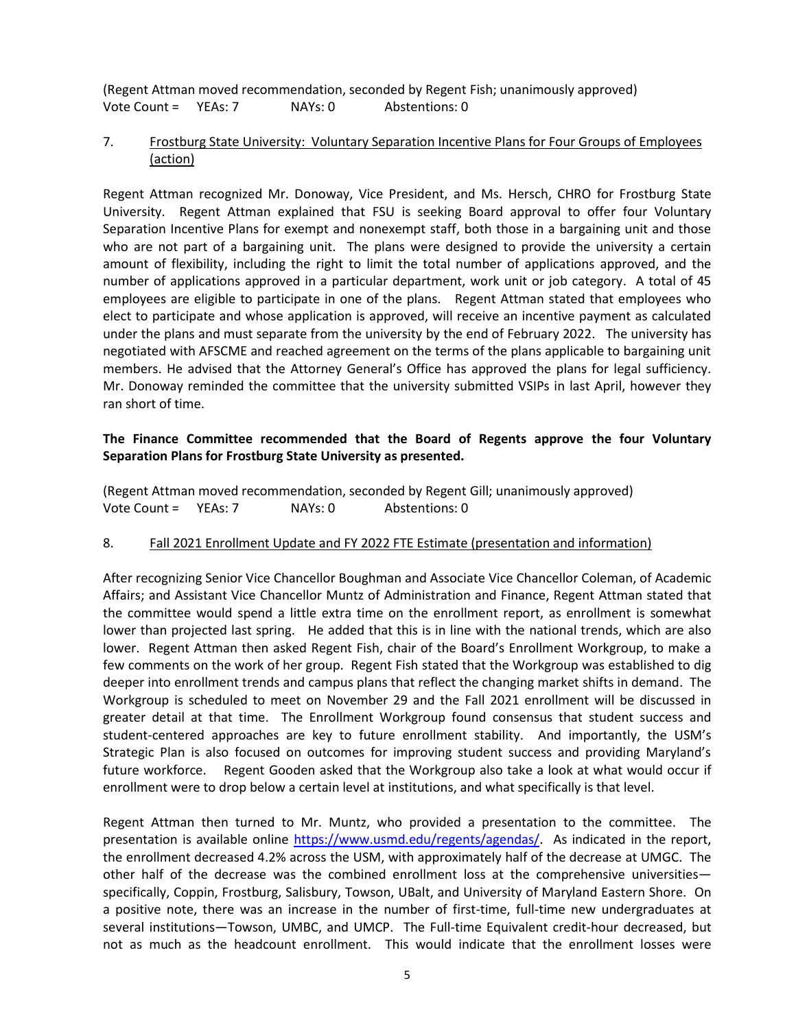(Regent Attman moved recommendation, seconded by Regent Fish; unanimously approved) Vote Count = YEAs: 7 NAYs: 0 Abstentions: 0

### 7. Frostburg State University: Voluntary Separation Incentive Plans for Four Groups of Employees (action)

Regent Attman recognized Mr. Donoway, Vice President, and Ms. Hersch, CHRO for Frostburg State University. Regent Attman explained that FSU is seeking Board approval to offer four Voluntary Separation Incentive Plans for exempt and nonexempt staff, both those in a bargaining unit and those who are not part of a bargaining unit. The plans were designed to provide the university a certain amount of flexibility, including the right to limit the total number of applications approved, and the number of applications approved in a particular department, work unit or job category. A total of 45 employees are eligible to participate in one of the plans. Regent Attman stated that employees who elect to participate and whose application is approved, will receive an incentive payment as calculated under the plans and must separate from the university by the end of February 2022. The university has negotiated with AFSCME and reached agreement on the terms of the plans applicable to bargaining unit members. He advised that the Attorney General's Office has approved the plans for legal sufficiency. Mr. Donoway reminded the committee that the university submitted VSIPs in last April, however they ran short of time.

### **The Finance Committee recommended that the Board of Regents approve the four Voluntary Separation Plans for Frostburg State University as presented.**

(Regent Attman moved recommendation, seconded by Regent Gill; unanimously approved) Vote Count = YEAs: 7 NAYs: 0 Abstentions: 0

#### 8. Fall 2021 Enrollment Update and FY 2022 FTE Estimate (presentation and information)

After recognizing Senior Vice Chancellor Boughman and Associate Vice Chancellor Coleman, of Academic Affairs; and Assistant Vice Chancellor Muntz of Administration and Finance, Regent Attman stated that the committee would spend a little extra time on the enrollment report, as enrollment is somewhat lower than projected last spring. He added that this is in line with the national trends, which are also lower. Regent Attman then asked Regent Fish, chair of the Board's Enrollment Workgroup, to make a few comments on the work of her group. Regent Fish stated that the Workgroup was established to dig deeper into enrollment trends and campus plans that reflect the changing market shifts in demand. The Workgroup is scheduled to meet on November 29 and the Fall 2021 enrollment will be discussed in greater detail at that time. The Enrollment Workgroup found consensus that student success and student-centered approaches are key to future enrollment stability. And importantly, the USM's Strategic Plan is also focused on outcomes for improving student success and providing Maryland's future workforce. Regent Gooden asked that the Workgroup also take a look at what would occur if enrollment were to drop below a certain level at institutions, and what specifically is that level.

Regent Attman then turned to Mr. Muntz, who provided a presentation to the committee. The presentation is available online [https://www.usmd.edu/regents/agendas/.](https://www.usmd.edu/regents/agendas/) As indicated in the report, the enrollment decreased 4.2% across the USM, with approximately half of the decrease at UMGC. The other half of the decrease was the combined enrollment loss at the comprehensive universities specifically, Coppin, Frostburg, Salisbury, Towson, UBalt, and University of Maryland Eastern Shore. On a positive note, there was an increase in the number of first-time, full-time new undergraduates at several institutions—Towson, UMBC, and UMCP. The Full-time Equivalent credit-hour decreased, but not as much as the headcount enrollment. This would indicate that the enrollment losses were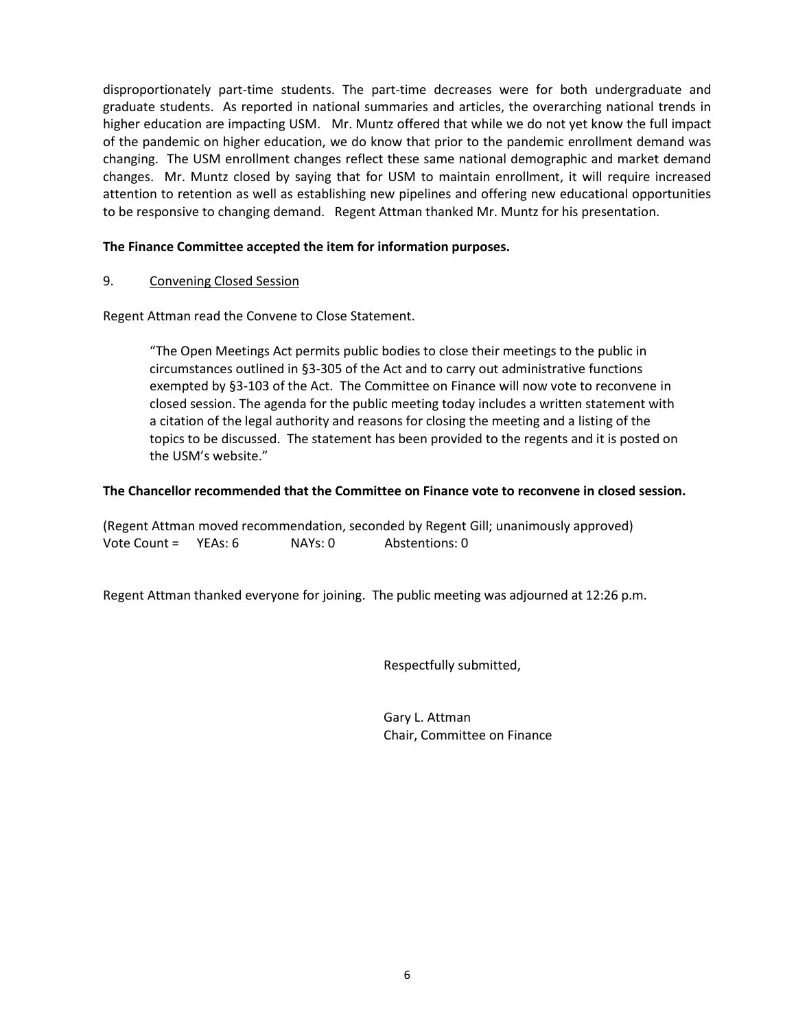disproportionately part-time students. The part-time decreases were for both undergraduate and graduate students. As reported in national summaries and articles, the overarching national trends in higher education are impacting USM. Mr. Muntz offered that while we do not yet know the full impact of the pandemic on higher education, we do know that prior to the pandemic enrollment demand was changing. The USM enrollment changes reflect these same national demographic and market demand changes. Mr. Muntz closed by saying that for USM to maintain enrollment, it will require increased attention to retention as well as establishing new pipelines and offering new educational opportunities to be responsive to changing demand. Regent Attman thanked Mr. Muntz for his presentation.

### **The Finance Committee accepted the item for information purposes.**

#### 9. Convening Closed Session

Regent Attman read the Convene to Close Statement.

"The Open Meetings Act permits public bodies to close their meetings to the public in circumstances outlined in §3-305 of the Act and to carry out administrative functions exempted by §3-103 of the Act. The Committee on Finance will now vote to reconvene in closed session. The agenda for the public meeting today includes a written statement with a citation of the legal authority and reasons for closing the meeting and a listing of the topics to be discussed. The statement has been provided to the regents and it is posted on the USM's website."

#### **The Chancellor recommended that the Committee on Finance vote to reconvene in closed session.**

(Regent Attman moved recommendation, seconded by Regent Gill; unanimously approved) Vote Count = YEAs: 6 NAYs: 0 Abstentions: 0

Regent Attman thanked everyone for joining. The public meeting was adjourned at 12:26 p.m.

Respectfully submitted,

Gary L. Attman Chair, Committee on Finance